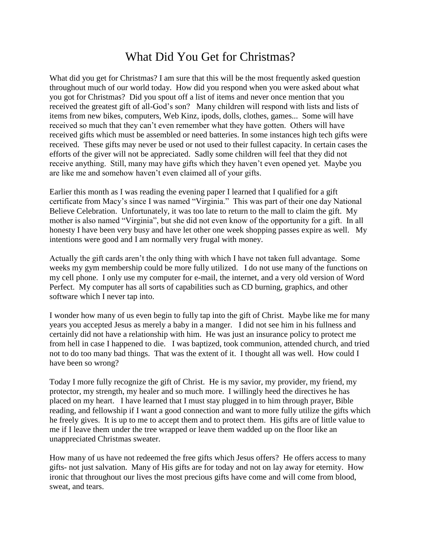## What Did You Get for Christmas?

What did you get for Christmas? I am sure that this will be the most frequently asked question throughout much of our world today. How did you respond when you were asked about what you got for Christmas? Did you spout off a list of items and never once mention that you received the greatest gift of all-God's son? Many children will respond with lists and lists of items from new bikes, computers, Web Kinz, ipods, dolls, clothes, games... Some will have received so much that they can't even remember what they have gotten. Others will have received gifts which must be assembled or need batteries. In some instances high tech gifts were received. These gifts may never be used or not used to their fullest capacity. In certain cases the efforts of the giver will not be appreciated. Sadly some children will feel that they did not receive anything. Still, many may have gifts which they haven't even opened yet. Maybe you are like me and somehow haven't even claimed all of your gifts.

Earlier this month as I was reading the evening paper I learned that I qualified for a gift certificate from Macy's since I was named "Virginia." This was part of their one day National Believe Celebration. Unfortunately, it was too late to return to the mall to claim the gift. My mother is also named "Virginia", but she did not even know of the opportunity for a gift. In all honesty I have been very busy and have let other one week shopping passes expire as well. My intentions were good and I am normally very frugal with money.

Actually the gift cards aren't the only thing with which I have not taken full advantage. Some weeks my gym membership could be more fully utilized. I do not use many of the functions on my cell phone. I only use my computer for e-mail, the internet, and a very old version of Word Perfect. My computer has all sorts of capabilities such as CD burning, graphics, and other software which I never tap into.

I wonder how many of us even begin to fully tap into the gift of Christ. Maybe like me for many years you accepted Jesus as merely a baby in a manger. I did not see him in his fullness and certainly did not have a relationship with him. He was just an insurance policy to protect me from hell in case I happened to die. I was baptized, took communion, attended church, and tried not to do too many bad things. That was the extent of it. I thought all was well. How could I have been so wrong?

Today I more fully recognize the gift of Christ. He is my savior, my provider, my friend, my protector, my strength, my healer and so much more. I willingly heed the directives he has placed on my heart. I have learned that I must stay plugged in to him through prayer, Bible reading, and fellowship if I want a good connection and want to more fully utilize the gifts which he freely gives. It is up to me to accept them and to protect them. His gifts are of little value to me if I leave them under the tree wrapped or leave them wadded up on the floor like an unappreciated Christmas sweater.

How many of us have not redeemed the free gifts which Jesus offers? He offers access to many gifts- not just salvation. Many of His gifts are for today and not on lay away for eternity. How ironic that throughout our lives the most precious gifts have come and will come from blood, sweat, and tears.